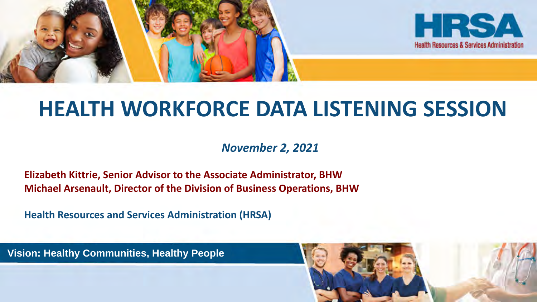

## **HEALTH WORKFORCE DATA LISTENING SESSION**

*November 2, 2021*

**Elizabeth Kittrie, Senior Advisor to the Associate Administrator, BHW Michael Arsenault, Director of the Division of Business Operations, BHW**

**Health Resources and Services Administration (HRSA)**

**Vision: Healthy Communities, Healthy People**

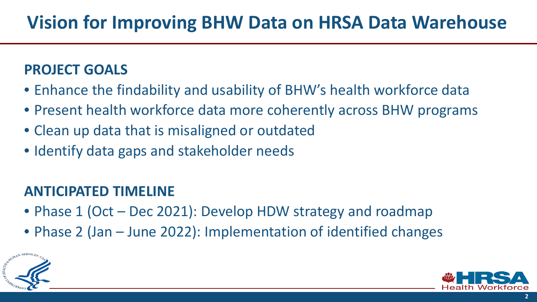#### **PROJECT GOALS**

- Enhance the findability and usability of BHW's health workforce data
- Present health workforce data more coherently across BHW programs
- Clean up data that is misaligned or outdated
- Identify data gaps and stakeholder needs

#### **ANTICIPATED TIMELINE**

- Phase 1 (Oct Dec 2021): Develop HDW strategy and roadmap
- Phase 2 (Jan June 2022): Implementation of identified changes



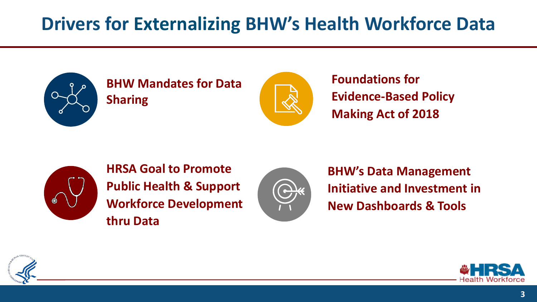### **Drivers for Externalizing BHW's Health Workforce Data**



#### **BHW Mandates for Data Sharing**



**Foundations for Evidence-Based Policy Making Act of 2018**



**HRSA Goal to Promote Public Health & Support Workforce Development thru Data**



**BHW's Data Management Initiative and Investment in New Dashboards & Tools**



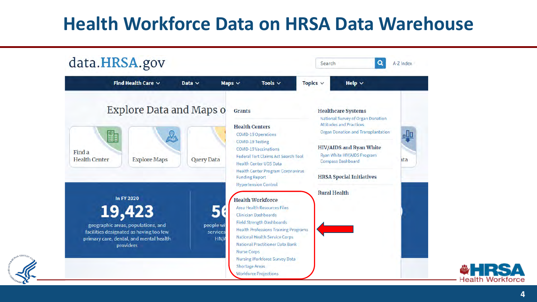#### **Health Workforce Data on HRSA Data Warehouse**





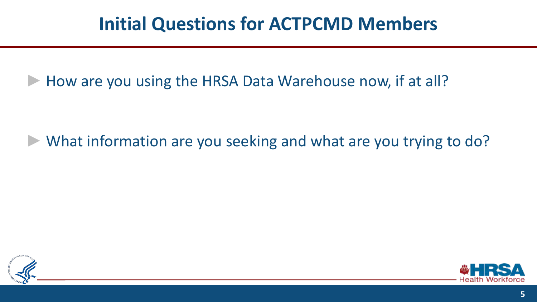#### **Initial Questions for ACTPCMD Members**

How are you using the HRSA Data Warehouse now, if at all?

What information are you seeking and what are you trying to do?



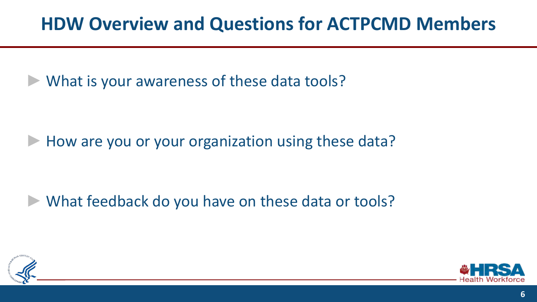#### **HDW Overview and Questions for ACTPCMD Members**

What is your awareness of these data tools?

How are you or your organization using these data?

What feedback do you have on these data or tools?



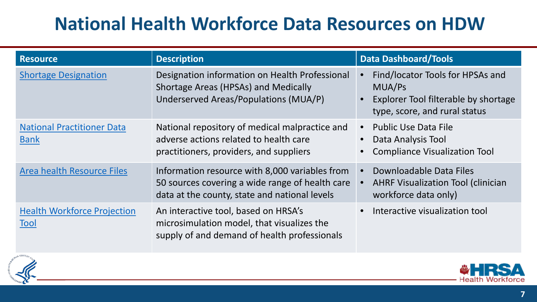### **National Health Workforce Data Resources on HDW**

| <b>Resource</b>                                  | <b>Description</b>                                                                                                                                 | <b>Data Dashboard/Tools</b>                                                                                         |
|--------------------------------------------------|----------------------------------------------------------------------------------------------------------------------------------------------------|---------------------------------------------------------------------------------------------------------------------|
| <b>Shortage Designation</b>                      | Designation information on Health Professional<br>Shortage Areas (HPSAs) and Medically<br>Underserved Areas/Populations (MUA/P)                    | Find/locator Tools for HPSAs and<br>MUA/Ps<br>Explorer Tool filterable by shortage<br>type, score, and rural status |
| <b>National Practitioner Data</b><br><b>Bank</b> | National repository of medical malpractice and<br>adverse actions related to health care<br>practitioners, providers, and suppliers                | <b>Public Use Data File</b><br>Data Analysis Tool<br><b>Compliance Visualization Tool</b>                           |
| <b>Area health Resource Files</b>                | Information resource with 8,000 variables from<br>50 sources covering a wide range of health care<br>data at the county, state and national levels | Downloadable Data Files<br><b>AHRF Visualization Tool (clinician</b><br>workforce data only)                        |
| <b>Health Workforce Projection</b><br>Tool       | An interactive tool, based on HRSA's<br>microsimulation model, that visualizes the<br>supply of and demand of health professionals                 | Interactive visualization tool                                                                                      |



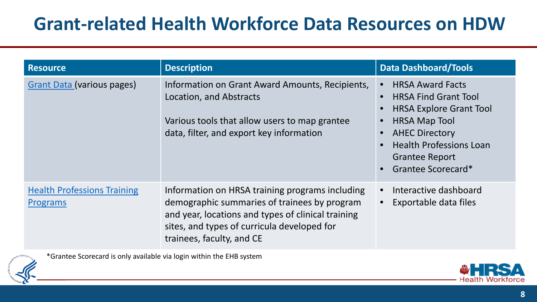#### **Grant-related Health Workforce Data Resources on HDW**

| <b>Resource</b>                                       | <b>Description</b>                                                                                                                                                                                                                | <b>Data Dashboard/Tools</b>                                                                                                                                                                                                |
|-------------------------------------------------------|-----------------------------------------------------------------------------------------------------------------------------------------------------------------------------------------------------------------------------------|----------------------------------------------------------------------------------------------------------------------------------------------------------------------------------------------------------------------------|
| <b>Grant Data (various pages)</b>                     | Information on Grant Award Amounts, Recipients,<br>Location, and Abstracts<br>Various tools that allow users to map grantee<br>data, filter, and export key information                                                           | <b>HRSA Award Facts</b><br><b>HRSA Find Grant Tool</b><br><b>HRSA Explore Grant Tool</b><br><b>HRSA Map Tool</b><br><b>AHEC Directory</b><br><b>Health Professions Loan</b><br><b>Grantee Report</b><br>Grantee Scorecard* |
| <b>Health Professions Training</b><br><b>Programs</b> | Information on HRSA training programs including<br>demographic summaries of trainees by program<br>and year, locations and types of clinical training<br>sites, and types of curricula developed for<br>trainees, faculty, and CE | Interactive dashboard<br>Exportable data files                                                                                                                                                                             |

\*Grantee Scorecard is only available via login within the EHB system

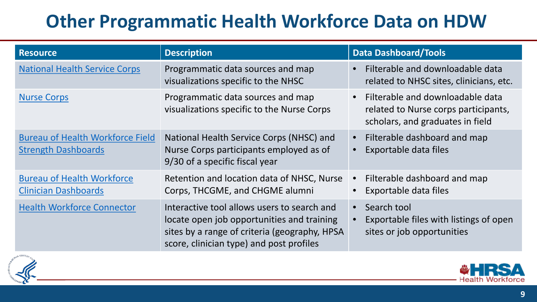### **Other Programmatic Health Workforce Data on HDW**

| <b>Resource</b>                                                       | <b>Description</b>                                                                                                                                                                     | <b>Data Dashboard/Tools</b>                                                                                               |
|-----------------------------------------------------------------------|----------------------------------------------------------------------------------------------------------------------------------------------------------------------------------------|---------------------------------------------------------------------------------------------------------------------------|
| <b>National Health Service Corps</b>                                  | Programmatic data sources and map<br>visualizations specific to the NHSC                                                                                                               | Filterable and downloadable data<br>$\bullet$<br>related to NHSC sites, clinicians, etc.                                  |
| <b>Nurse Corps</b>                                                    | Programmatic data sources and map<br>visualizations specific to the Nurse Corps                                                                                                        | Filterable and downloadable data<br>$\bullet$<br>related to Nurse corps participants,<br>scholars, and graduates in field |
| <b>Bureau of Health Workforce Field</b><br><b>Strength Dashboards</b> | National Health Service Corps (NHSC) and<br>Nurse Corps participants employed as of<br>9/30 of a specific fiscal year                                                                  | Filterable dashboard and map<br>$\bullet$<br>Exportable data files<br>$\bullet$                                           |
| <b>Bureau of Health Workforce</b><br><b>Clinician Dashboards</b>      | Retention and location data of NHSC, Nurse<br>Corps, THCGME, and CHGME alumni                                                                                                          | Filterable dashboard and map<br>$\bullet$<br>Exportable data files                                                        |
| <b>Health Workforce Connector</b>                                     | Interactive tool allows users to search and<br>locate open job opportunities and training<br>sites by a range of criteria (geography, HPSA<br>score, clinician type) and post profiles | Search tool<br>$\bullet$<br>Exportable files with listings of open<br>$\bullet$<br>sites or job opportunities             |



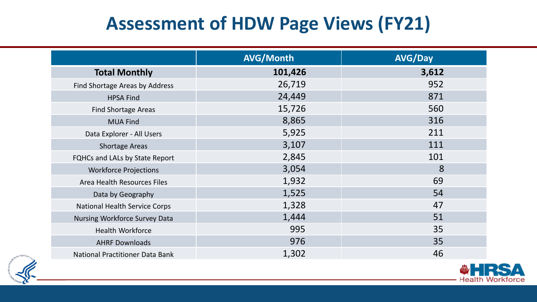### **Assessment of HDW Page Views (FY21)**

|                                        | <b>AVG/Month</b> | <b>AVG/Day</b> |
|----------------------------------------|------------------|----------------|
| <b>Total Monthly</b>                   | 101,426          | 3,612          |
| Find Shortage Areas by Address         | 26,719           | 952            |
| <b>HPSA Find</b>                       | 24,449           | 871            |
| <b>Find Shortage Areas</b>             | 15,726           | 560            |
| <b>MUA Find</b>                        | 8,865            | 316            |
| Data Explorer - All Users              | 5,925            | 211            |
| <b>Shortage Areas</b>                  | 3,107            | 111            |
| FQHCs and LALs by State Report         | 2,845            | 101            |
| <b>Workforce Projections</b>           | 3,054            | 8              |
| Area Health Resources Files            | 1,932            | 69             |
| Data by Geography                      | 1,525            | 54             |
| <b>National Health Service Corps</b>   | 1,328            | 47             |
| Nursing Workforce Survey Data          | 1,444            | 51             |
| <b>Health Workforce</b>                | 995              | 35             |
| <b>AHRF Downloads</b>                  | 976              | 35             |
| <b>National Practitioner Data Bank</b> | 1,302            | 46             |



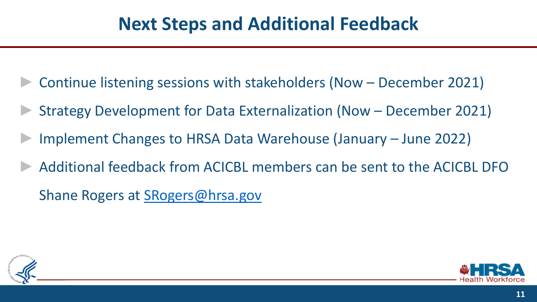#### **Next Steps and Additional Feedback**

- Continue listening sessions with stakeholders (Now December 2021)
- Strategy Development for Data Externalization (Now December 2021)
- Implement Changes to HRSA Data Warehouse (January June 2022)
- Additional feedback from ACICBL members can be sent to the ACICBL DFO

Shane Rogers at [SRogers@hrsa.gov](mailto:SRogers@hrsa.gov)



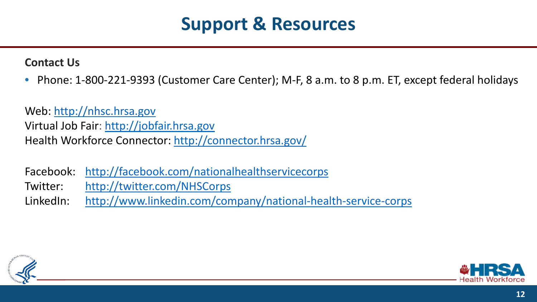#### **Support & Resources**

**Contact Us**

• Phone: 1-800-221-9393 (Customer Care Center); M-F, 8 a.m. to 8 p.m. ET, except federal holidays

Web: [http://nhsc.hrsa.gov](http://nhsc.hrsa.gov/) Virtual Job Fair: [http://jobfair.hrsa.gov](http://jobfair.hrsa.gov/)  Health Workforce Connector: <http://connector.hrsa.gov/>

Facebook: <http://facebook.com/nationalhealthservicecorps> Twitter: <http://twitter.com/NHSCorps>

LinkedIn: <http://www.linkedin.com/company/national-health-service-corps>